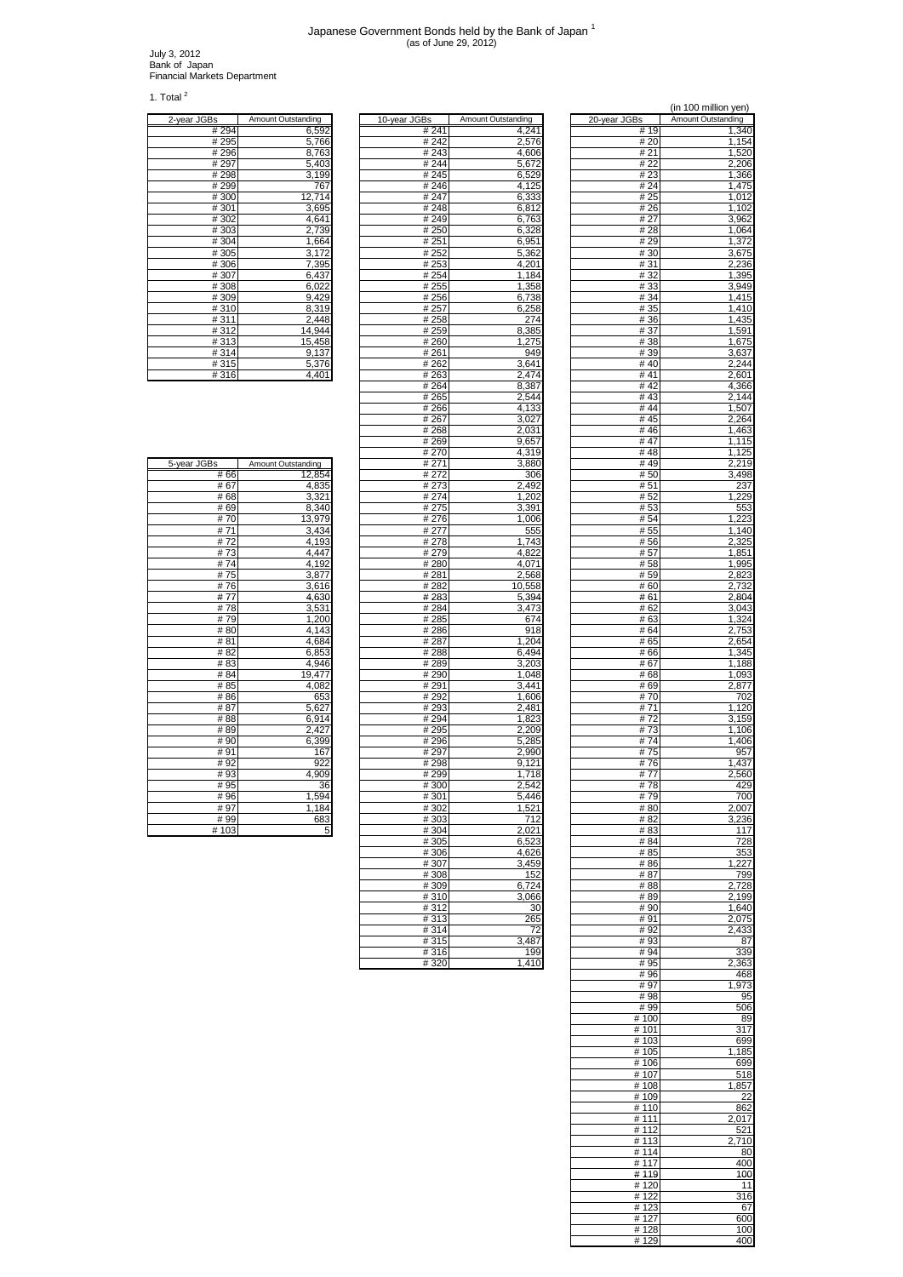## Japanese Government Bonds held by the Bank of Japan 1 (as of June 29, 2012)

July 3, 2012 Bank of Japan Financial Markets Department

1. Total $^2$ 

 $\mathbf{r}$ 

| 2-year JGBs    | Amount Outstanding |
|----------------|--------------------|
| #294           | 6,592              |
| # 295          | 5,766              |
| #296           | 8,763              |
| #297           | 5,403              |
| #298           | 3,199              |
| #299           | 767                |
| #300           | 12,714             |
| #301           | 3,695              |
| #302           | 4,641              |
| #303           | 2,739              |
| #304           | 1,664              |
| #305           | 3,172              |
| #306           | 7,395              |
| #307           | 6,437              |
| #308           | 6,022              |
| #309           | 9,429              |
| #310           | 8,319              |
| #311           | 2,448              |
| #312           | 14,944             |
| #313           | 15,458             |
| #314           | 9,137              |
| #315           | 5,376              |
| $\overline{1}$ | $\overline{1}$     |

| 2-year JGBs | Amount Outstanding | 10-year JGBs | Amount Outstanding | 20-year JGBs | Amount Outstanding |
|-------------|--------------------|--------------|--------------------|--------------|--------------------|
| # 294       | 6,592              | # 241        | 4,241              | # 19         | 1,340              |
| # 295       | 5,766              | # 242        | 2,576              | # 20         | 1,154              |
| #296        | 8,763              | # 243        | 4,606              | # 21         | 1,520              |
| #297        | 5,403              | #244         | 5,672              | # 22         | 2,206              |
| #298        | 3,199              | #245         | 6,529              | # 23         | 1,366              |
| #299        | 767                | #246         | 4,125              | #24          | 1,475              |
| #300        | 12.714             | #247         | 6,333              | # 25         | 1,012              |
| #301        | 3,695              | #248         | 6,812              | #26          | 1,102              |
| #302        | 4,641              | #249         | 6,763              | # 27         | 3,962              |
| #303        | 2,739              | #250         | 6,328              | #28          | 1,064              |
| #304        | 1,664              | #251         | 6,951              | #29          | 1,372              |
| #305        | 3,172              | #252         | 5,362              | # 30         | 3,675              |
| #306        | 7,395              | #253         | 4,201              | # 31         | 2,236              |
| #307        | 6,437              | #254         | 1,184              | # 32         | 1,395              |
| #308        | 6,022              | # 255        | 1,358              | #33          | 3,949              |
| #309        | 9,429              | #256         | 6,738              | # 34         | 1,415              |
| #310        | 8,319              | # 257        | 6,258              | # 35         | 1,410              |
| #311        | 2,448              | #258         | 274                | # 36         | 1,435              |
| #312        | 14,944             | #259         | 8,385              | #37          | 1,591              |
| #313        | 15,458             | #260         | 1,275              | #38          | 1,675              |
| #314        | 9,137              | #261         | 949                | # 39         | 3,637              |
| #315        | 5,376              | #262         | 3,641              | #40          | 2,244              |
| #316        | 4,401              | # 263        | 2,474              | # 41         | 2,601              |
|             |                    | #264         | 8,387              | #42          | 4,366              |
|             |                    | # 265        | 2,544              | #43          | 2,144              |
|             |                    | #266         | 4,133              | #44          | 1,507              |
|             |                    | # 267        | 3,027              | # 45         | 2,264              |
|             |                    | #268         | 2,031              | #46          | 1,463              |
|             |                    | # 269        | 9,657              | #47          | 1,115              |
|             |                    | # 270        | 4,319              | #48          | 1,125              |
| 5-year JGBs | Amount Outstanding | # 271        | 3,880              | #49          | 2,219              |
| #66         | 12,854             | # 272        | 306                | # 50         | 3,498              |
| #67         | 4,835              | #273         | 2,492              | # 51         | 237                |
| #68         | 3,321              | # 274        | 1,202              | #52          | 1,229              |
| #69         | 8,340              | # 275        | 3,391              | #53          | 553                |
| #70         | 13,979             | #276         | 1,006              | # 54         | 1,223              |
| #71         | 3,434              | # 277        | 555                | # 55         | 1,140              |
| #72         | 4,193              | #278         | 1.743              | #56          | 2,325              |
| #73         | 4,447              | #279         | 4,822              | #57          |                    |
| #74         | 4,192              | #280         | 4,071              | #58          | 1,851<br>1,995     |
| #75         | 3,877              | #281         | 2,568              | # 59         | 2,823              |
| #76         | 3,616              | #282         | 10,558             | #60          |                    |
| #77         |                    |              |                    |              | 2,732<br>2,804     |
|             | 4,630              | #283         | 5,394              | #61          |                    |
| #78<br>#79  | 3,531              | #284         | 3,473              | # 62         | 3,043              |
|             | 1,200              | #285         | 674                | # 63         | 1,324              |
| #80         | 4,143              | #286         | 918                | # 64         | 2,753              |
| #81         | 4,684              | # 287        | 1,204              | # 65         | 2,654              |
| #82         | 6,853              | #288         | 6,494              | #66          | 1,345              |
| #83         | 4,946              | #289         | 3,203              | #67          | 1,188              |
| #84         | 19,477             | #290         | 1,048              | #68          | 1,093              |
| # 85        | 4,082              | #291         | 3,441              | # 69         | 2,877              |
| #86         | 653                | #292         | 1,606              | #70          | 702                |
| #87         | 5,627              | #293         | 2,481              | #71          | 1,120              |
| #88         | 6,914              | #294         | 1,823              | #72          | 3,159              |
| #89         | 2,427              | # 295        | 2,209              | #73          | 1,106              |
| #90         | 6,399              | #296         | 5,285              | #74          | 1,406              |
| #91         | 167                | #297         | 2,990              | #75          | 957<br>1.437       |
| #92         | 92                 | #298         | 9,121              | #76          |                    |
| #93         | 4,909              | #299         | 1,718              | #77          | 2,560              |
| #95         | 36                 | #300         | 2,542              | #78          | 429                |
| # 96        | 1,594              | # 301        | 5,446              | # 79         | 700<br>2,007       |
| #97         | 1,184              | #302         | 1,521              | #80          |                    |
| # 99        | 683                | #303         | 712                | #82          | 3,236              |
| #103        | 5                  | #304         | 2,021              | # 83         | 117                |
|             |                    | #305         | 6,523              | # 84         | 728                |
|             |                    | #306         | 4,626              | # 85         | 353                |
|             |                    | #307         | 3,459              | # 86         | 1,227              |
|             |                    | #308         | 152                | #87          | 799                |
|             |                    | #309         | 6,724              | #88          | 2,728              |
|             |                    | #310         | 3,066              | #89          | 2,199              |
|             |                    | #312         | 30                 | #90          | 1,640              |
|             |                    | #313         | 265                | #91          | 2,075              |
|             |                    | #314         | 72                 | #92          | 2,433              |
|             |                    | #315         | 3,487              | #93          | 87                 |
|             |                    | #316         | 199                | #94          | 339                |
|             |                    | #320         | 1,410              | #95          | 2,363              |

|                |                    |                   | (in 100 million yen)        |
|----------------|--------------------|-------------------|-----------------------------|
| 3s<br># 241    | Amount Outstanding | 20-year JGBs      | Amount Outstanding<br>1,340 |
| # 242          | 4,241<br>2,576     | # 19<br># 20      | $\overline{1,154}$          |
| # 243          | 4,606              | #21               | 1,520                       |
| #244<br># 245  | 5,672<br>6,529     | # 22<br># 23      | 2,206<br>1,366              |
| # 246          | 4,125              | # 24              | 1,475                       |
| # 247          | 6,333              | # 25              | 1,012                       |
| #248<br>#249   | 6,812<br>6,763     | # 26<br># 27      | 1,102<br>3,962              |
| # 250          | 6,328              | # 28              | 1,064                       |
| # 251          | 6,951              | # 29              | 1,372                       |
| # 252<br># 253 | 5,362<br>4,201     | #30<br># 31       | 3,675<br>2,236              |
| # 254          | 1,184              | #32               | 1,395                       |
| # 255<br># 256 | 1,358<br>6,738     | #33<br>#34        | 3,949<br>1.415              |
| # 257          | 6,258              | # 35              | 1,410                       |
| #258           | 274<br>8,385       | #36               | 1,435<br>1,591              |
| # 259<br>#260  | 1,275              | # 37<br>#38       | 1,675                       |
| # 261          | 949                | # 39              | 3,637                       |
| # 262<br># 263 | 3,641<br>2,474     | # 40<br># 41      | 2,244<br>2,601              |
| # 264          | 8,387              | #42               | 4,366                       |
| # 265          | 2,544<br>4,133     | #43<br>#44        | 2,144<br>1,507              |
| # 266<br># 267 | 3,027              | # 45              | 2,264                       |
| # 268          | 2,031              | #46               | 1,463                       |
| # 269<br># 270 | 9,657<br>4,319     | #47<br>#48        | 1,115<br>1,125              |
| # 271          | 3,880              | #49               | 2,219                       |
| # 272<br># 273 | 306<br>2,492       | # 50<br># 51      | 3,498<br>237                |
| # 274          | 1,202              | # 52              | 1,229                       |
| # 275          | 3,391              | #53               | 553                         |
| # 276<br># 277 | 1,006<br>555       | # 54<br># 55      | 1,223<br>1,140              |
| # 278          | 1,743              | #56               | 2,325                       |
| # 279<br>#280  | 4,822<br>4,071     | # 57<br>#58       | 1,851<br>1,995              |
| #281           | 2,568              | # 59              | 2,823                       |
| # 282          | 10,558             | #60               | 2,732                       |
| #283<br># 284  | 5,394<br>3,473     | # 61<br># 62      | 2,804<br>3,043              |
| # 285          | 674                | # 63              | 1,324                       |
| #286<br># 287  | 918<br>1,204       | # 64<br># 65      | 2,753<br>2,654              |
| # 288          | 6,494              | # 66              | 1,345                       |
| # 289<br>#290  | 3,203              | #67<br># 68       | 1,188<br>1,093              |
| # 291          | 1,048<br>3,441     | # 69              | 2,877                       |
| #292           | 1,606              | #70               | 702                         |
| # 293<br>#294  | 2,481<br>1,823     | # 71<br>#72       | 1,120<br>3,159              |
| # 295          | 2,209              | #73               | 1,106                       |
| #296<br># 297  | 5,285<br>2,990     | #74<br>#75        | 1,406<br>957                |
| #298           | 9,121              | #76               | 1,437                       |
| #299<br>#300   | 1,718<br>2,542     | # 77<br>#78       | 2,560<br>429                |
| #301           | 5,446              | #79               | 700                         |
| # 302          | 1,521              | #80               | 2,007                       |
| #303<br># 304  | 712<br>2,021       | #82<br># 83       | 3,236<br>117                |
| # 305          | 6,523              | # 84              | 728                         |
| #306<br>#307   | 4,626<br>3,459     | # 85<br>#86       | 353<br>1,227                |
| #308           | 152                | # 87              | 799                         |
| # 309          | 6,724              | #88               | 2,728                       |
| # 310<br>#312  | 3,066<br>30        | #89<br># 90       | 2,199<br>1,640              |
| # 313          | 265                | #91               | 2,075                       |
| # 314<br>#315  | 72<br>3,487        | #92<br>#93        | 2,433<br>87                 |
| #316           | 199                | #94               | 339                         |
| #320           | 1,410              | #95<br>#96        | 2,363<br>468                |
|                |                    | #97               | 1,973                       |
|                |                    | #98               | 95                          |
|                |                    | #99<br># 100      | 506<br>89                   |
|                |                    | # 101             | 317                         |
|                |                    | # 103<br># 105    | 699<br>185<br>1             |
|                |                    | # 106             | 699                         |
|                |                    | # 107<br># 108    | 518<br>1,857                |
|                |                    | #109              | 22                          |
|                |                    | # 110<br>#111     | 862                         |
|                |                    | # 112             | 2,017<br>521                |
|                |                    | # 113             | 2,710                       |
|                |                    | # 114<br># 117    | 80<br>400                   |
|                |                    | # 119             | 100                         |
|                |                    | #120<br># 122     | 11<br>316                   |
|                |                    | $\frac{1}{4}$ 123 | 67                          |
|                |                    | # 127             | 600                         |
|                |                    | #128<br>#129      | 100<br>400                  |

| 5-year JGBs | Amount Outstanding |
|-------------|--------------------|
| #66         | 12,854             |
| #67         | 4,835              |
| #68         | 3,321              |
| #69         | 8,340              |
| #70         | 13,979             |
| #71         | 3,434              |
| # 72        | 4,193              |
| #73         | 4,447              |
| #74         | 4,192              |
| #75         | 3,877              |
| #76         | 3,616              |
| #77         | 4,630              |
| #78         | 3,531              |
| #79         | 1,200              |
| #80         | 4,143              |
| #81         | 4,684              |
| # 82        | 6,853              |
| #83         | 4,946              |
| #84         | 19,477             |
| #85         | 4,082              |
| #86         | 653                |
| # 87        | 5,627              |
| # 88        | 6,914              |
| #89         | 2,427              |
| #90         | 6,399              |
| #91         | 167                |
| #92         | 922                |
| #93         | 4,909              |
| # 95        | 36                 |
| # 96        | 1,594              |
| #97         | 1,184              |
| # 99        | 683                |
| #103        | 5                  |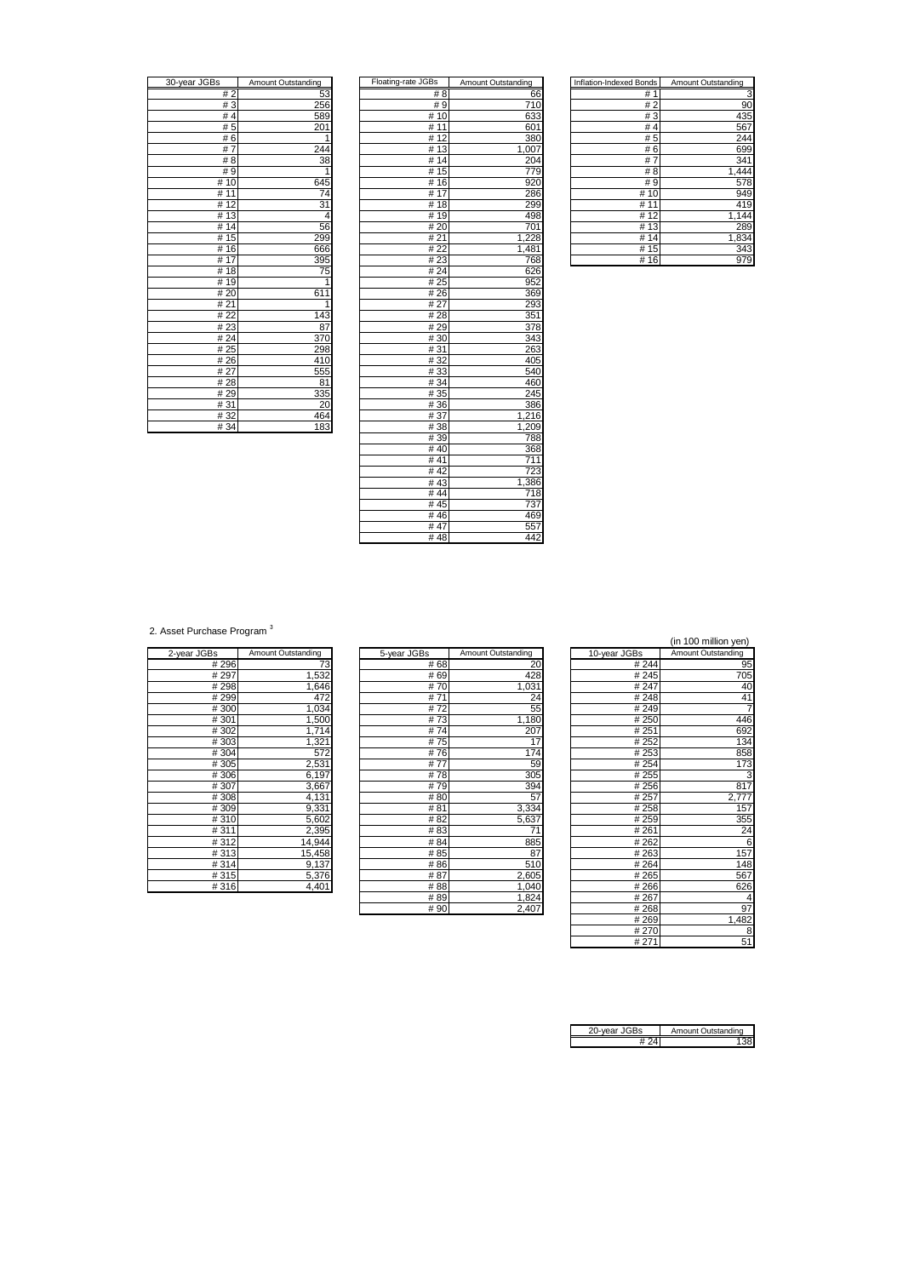| 30-year JGBs            | Amount Outstanding |
|-------------------------|--------------------|
| # 2                     | 53                 |
| #3                      | 256                |
| #4                      | 589                |
| #5                      | 20<br>1            |
| #6                      |                    |
| #7                      | 244                |
| #8                      | 38                 |
| #9                      | $\overline{1}$     |
| #10                     | 645                |
| 11<br>#                 | $\overline{74}$    |
| 12<br>#                 | 31                 |
| 13<br>#                 | 4                  |
| 14<br>#                 | 56                 |
| #15                     | 299                |
| 16<br>#                 | 666                |
| 17<br>#                 | 395                |
| $\overline{18}$<br>#    | 75                 |
| # 19                    |                    |
| # 20                    | 611                |
| #21                     | 1                  |
| # 22                    | 143                |
| #23                     | 87                 |
| # 24                    | 370                |
| # 25                    | 298                |
| #26                     | 410                |
| # 27                    | 555                |
| #28                     | 81                 |
| # 29                    | 335                |
| #31                     | 20                 |
| #32                     | 464                |
| $\overline{u}$ $\Omega$ | 102                |

| 30-year JGBs | Amount Outstanding | Floating-rate JGBs | Amount Outstanding | <b>Inflation-Indexed Bonds</b> | Amount Outstanding |
|--------------|--------------------|--------------------|--------------------|--------------------------------|--------------------|
| #2           | 53                 | # 8                | 66                 | #1                             | З                  |
| #3           | 256                | #9                 | 710                | #2                             | 90                 |
| #4           | 589                | #10                | 633                | #3                             | 435                |
| #5           | 201                | # 11               | 601                | #4                             | 567                |
| #6           | 1                  | #12                | 380                | #5                             | 244                |
| #7           | 244                | #13                | 1,007              | #6                             | 699                |
| # 8          | 38                 | #14                | 204                | #7                             | 341                |
| # 9          | 1                  | #15                | 779                | #8                             | 1,444              |
| #10          | 645                | #16                | 920                | #9                             | 578                |
| #11          | 74                 | #17                | 286                | #10                            | 949                |
| #12          | 31                 | #18                | 299                | #11                            | 419                |
| #13          | 4                  | #19                | 498                | #12                            | 1,144              |
| #14          | 56                 | #20                | 701                | #13                            | 289                |
| # $15$       | 299                | #21                | 1,228              | #14                            | 1,834              |
| #16          | 666                | #22                | 1,481              | #15                            | 343                |
| #17          | 395                | #23                | 768                | #16                            | 979                |
| # 18         | 75                 | #24                | 626                |                                |                    |
| #19          | 1                  | # 25               | 952                |                                |                    |
| #20          | 611                | #26                | 369                |                                |                    |
| #21          | 1                  | #27                | 293                |                                |                    |
| #22          | 143                | #28                | 351                |                                |                    |
| #23          | 87                 | #29                | 378                |                                |                    |
| #24          | 370                | #30                | 343                |                                |                    |
| #25          | 298                | #31                | 263                |                                |                    |
| #26          | 410                | #32                | 405                |                                |                    |
| # 27         | 555                | #33                | 540                |                                |                    |
| #28          | 81                 | #34                | 460                |                                |                    |
| #29          | 335                | # 35               | 245                |                                |                    |
| #31          | 20                 | #36                | 386                |                                |                    |
| #32          | 464                | #37                | 1,216              |                                |                    |
| #34          | $\overline{183}$   | #38                | 1,209              |                                |                    |
|              |                    | #39                | 788                |                                |                    |
|              |                    | #40                | 368                |                                |                    |
|              |                    | #41                | 711                |                                |                    |
|              |                    | #42                | 723                |                                |                    |
|              |                    | #43                | 1,386              |                                |                    |
|              |                    | #44                | 718                |                                |                    |
|              |                    | #45                | 737                |                                |                    |
|              |                    | #46                | 469                |                                |                    |
|              |                    | #47                | 557                |                                |                    |
|              |                    | #48                | 442                |                                |                    |

| Inflation-Indexed Bonds | Amount Outstanding |
|-------------------------|--------------------|
| #<br>1                  |                    |
| #<br>$\overline{2}$     | 90                 |
| #3                      | 435                |
| #<br>4                  | 567                |
| #5                      | 244                |
| #6                      | 699                |
| #<br>7                  | 341                |
| #<br>8                  | 1,444              |
| # 9                     | 578                |
| #<br>10                 | 949                |
| #                       | 419                |
| #12                     | 1,144              |
| 13<br>#                 | 289                |
| #<br>14                 | 1,834              |
| #<br>15                 | 343                |
| #<br>16                 | 979                |

2. Asset Purchase Program<sup>3</sup>

|             | Amount Outstanding |
|-------------|--------------------|
| 2-year JGBs |                    |
| # 296       | 73                 |
| # 297       | 1,532              |
| #298        | 1,646              |
| #299        | 472                |
| #300        | 1,034              |
| #301        | 1,500              |
| #302        | 1,714              |
| #303        | 1,321              |
| #304        | 572                |
| #305        | 2,531              |
| #306        | 6,197              |
| #307        | 3,667              |
| #308        | 4,131              |
| #309        | 9,331              |
| #310        | 5,602              |
| #311        | 2,395              |
| #312        | 14,944             |
| #313        | 15,458             |
| #314        | 9,137              |
| #315        | 5,376              |
| #316        | 4,401              |

|             |                    |             |                    |              | , <i>. .</i>       |
|-------------|--------------------|-------------|--------------------|--------------|--------------------|
| 2-year JGBs | Amount Outstanding | 5-year JGBs | Amount Outstanding | 10-year JGBs | Amount Outstanding |
| #296        | 73                 | #68         | 20                 | # 244        | 95                 |
| #297        | 1,532              | # 69        | 428                | # 245        | 705                |
| #298        | 1,646              | #70         | 1,031              | # 247        | 40                 |
| # 299       | 472                | #71         | 24                 | #248         | 41                 |
| #300        | 1,034              | #72         | 55                 | #249         |                    |
| #301        | 1,500              | #73         | 1,180              | # 250        | 446                |
| #302        | 1,714              | #74         | 207                | # 251        | 692                |
| #303        | 1,321              | #75         | 17                 | # 252        | 134                |
| #304        | 572                | #76         | 174                | # 253        | 858                |
| #305        | 2,531              | #77         | 59                 | # 254        | 173                |
| #306        | 6,197              | #78         | 305                | #255         | 3                  |
| #307        | 3,667              | #79         | 394                | #256         | 817                |
| #308        | 4,131              | #80         | 57                 | # 257        | 2,777              |
| #309        | 9,331              | #81         | 3,334              | #258         | 157                |
| #310        | 5,602              | #82         | 5,637              | #259         | 355                |
| #311        | 2,395              | #83         |                    | #261         | 24                 |
| #312        | 14,944             | # 84        | 885                | #262         | 6                  |
| #313        | 15,458             | #85         | 87                 | #263         | 157                |
| #314        | 9,137              | #86         | 510                | #264         | 148                |
| #315        | 5,376              | #87         | 2,605              | #265         | 567                |
| #316        | 4,401              | #88         | 1,040              | #266         | 626                |
|             |                    | #89         | 1,824              | #267         | 4                  |
|             |                    | #90         | 2,407              | #268         | 97                 |

|      |                    |              | (in 100 million yen) |
|------|--------------------|--------------|----------------------|
|      | Amount Outstanding | 10-year JGBs | Amount Outstanding   |
| # 68 | 20                 | # 244        | 95                   |
| # 69 | 428                | # 245        | 705                  |
| #70  | 1,031              | # 247        | 40                   |
| # 71 | 24                 | #248         | 41                   |
| # 72 | 55                 | #249         | 7                    |
| #73  | 1,180              | # 250        | 446                  |
| #74  | 207                | #251         | 692                  |
| #75  | 17                 | # 252        | 134                  |
| #76  | 174                | # 253        | 858                  |
| # 77 | 59                 | #254         | 173                  |
| #78  | 305                | #255         | 3                    |
| # 79 | 394                | #256         | 817                  |
| # 80 | 57                 | #257         | 2,777                |
| # 81 | 3,334              | #258         | 157                  |
| # 82 | 5,637              | #259         | 355                  |
| # 83 | $\overline{71}$    | #261         | 24                   |
| # 84 | 885                | #262         | 6                    |
| # 85 | 87                 | #263         | 157                  |
| #86  | 510                | #264         | 148                  |
| # 87 | 2,605              | #265         | 567                  |
| #88  | 1,040              | #266         | 626                  |
| # 89 | 1,824              | #267         | 4                    |
| #90  | 2,407              | #268         | 97                   |
|      |                    | #269         | 1,482                |
|      |                    | #270         | 8                    |
|      |                    | #271         | 51                   |

| 20-year JGBs | Amount Outstanding |
|--------------|--------------------|
| # 24         |                    |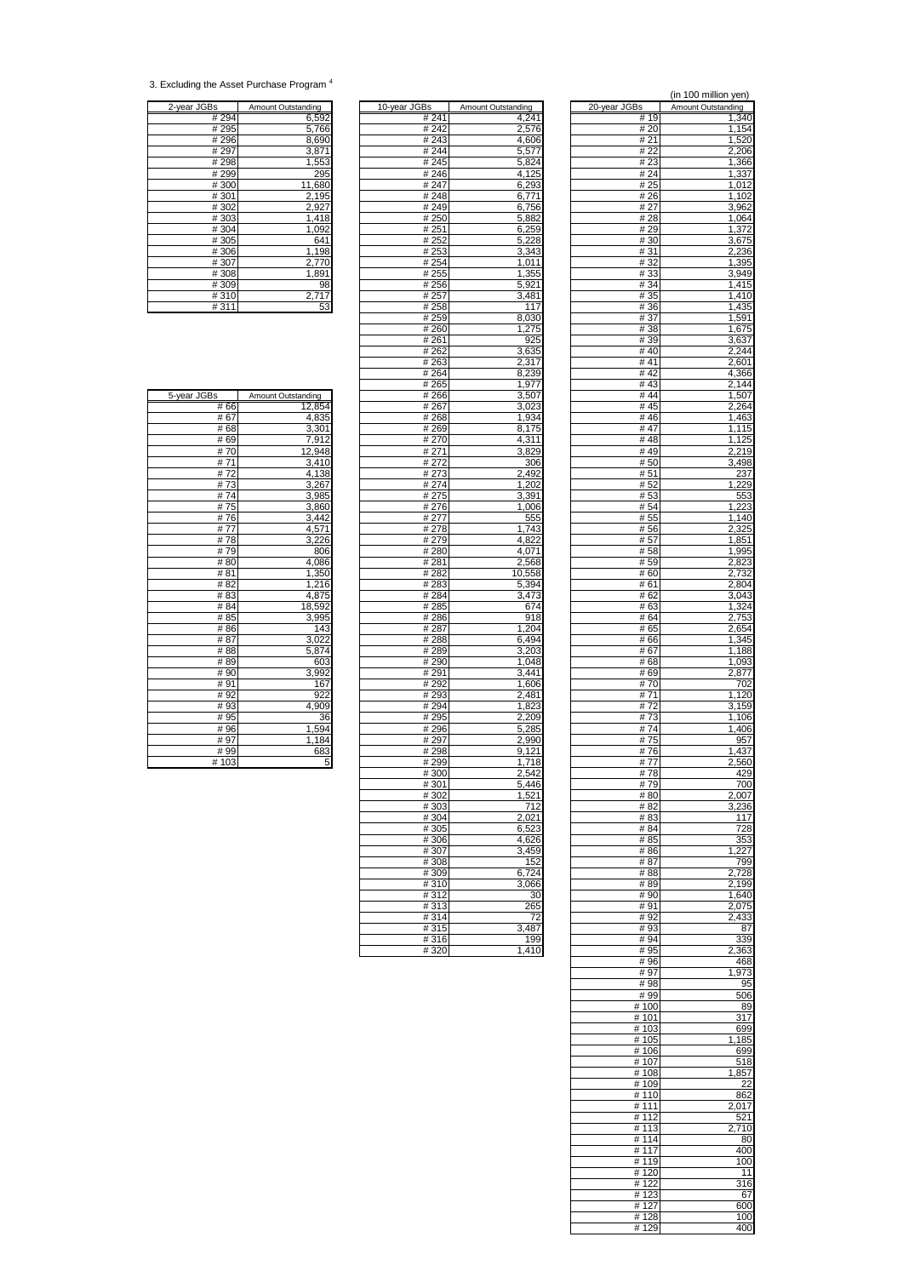<sup>3.</sup> Excluding the Asset Purchase Program <sup>4</sup>

| 2-year JGBs | Amount Outstanding |
|-------------|--------------------|
| #294        | 6,592              |
| #295        | 5,766              |
| #296        | 8,690              |
| #297        | 3,871              |
| #298        | 1,553              |
| #299        | 295                |
| #300        | 11,680             |
| #301        | 2,195              |
| #302        | 2,927              |
| #303        | 1,418              |
| #304        | 1,092              |
| #305        | 641                |
| #306        | 1,198              |
| #307        | 2,770              |
| #308        | 1,891              |
| #309        | 98                 |
| #310        | 2,717              |
| #311        | 53                 |

| 2-year JGBs | Amount Outstanding | 10-year JGBs      | Amount Outstanding | 20-year JGBs | Amount Outstanding |
|-------------|--------------------|-------------------|--------------------|--------------|--------------------|
| # 294       | 6,592              | # 241             | 4,241              | # 19         | 1,340              |
| # 295       | 5,766              | # 242             | 2,576              | # 20         | 1,154              |
| #296        | 8,690              | #243              | 4,606              | # 21         | 1,520              |
| # 297       | 3,871              | # 244             | 5,577              | # 22         | 2,206              |
| #298        | 1,553              | #245              | 5,824              | #23          | 1,366              |
| #299        | 295                | #246              | 4,125              | # 24         | 1,337              |
| #300        | 11,680             | #247              | 6,293              | # 25         | 1,012              |
| #301        | 2,195              | #248              |                    | #26          | 1.102              |
|             |                    | #249              | 6,771              |              |                    |
| #302        | 2,927              |                   | 6,756              | # 27         | 3,962              |
| #303        | 1,418              | #250              | 5,882              | #28          | 1,064              |
| #304        | 1,092              | # 251             | 6,259              | #29          | 1,372              |
| #305        | 641                | # 252             | 5,228              | #30          | 3,675              |
| #306        | 1,198              | # 253             | 3,343              | # 31         | 2,236              |
| #307        | 2,770              | # 254             | 1,011              | # 32         | 1,395              |
| #308        | 1,891              | #255              | 1,355              | #33          | 3,949              |
| #309        | 98                 | #256              | 5,921              | #34          | 1,415              |
| #310        | 2,717              | #257              | 3,481              | # 35         | 1,410              |
| #311        | 53                 | #258              | 117                | #36          | 1,435              |
|             |                    |                   |                    |              |                    |
|             |                    | #259              | 8,030              | # 37         | 1,591              |
|             |                    | # 260             | 1,275              | #38          | 1,675              |
|             |                    | # 261             | 925                | #39          | 3,637              |
|             |                    | # 262             | 3,635              | #40          | 2,244              |
|             |                    | #263              | 2,317              | #41          | 2,601              |
|             |                    | #264              | 8,239              | #42          | 4,366              |
|             |                    | # 265             | 1,977              | #43          | 2,144              |
| 5-year JGBs | Amount Outstanding | $\frac{1}{4}$ 266 | 3,507              | # 44         | 1,507              |
| #66         | 12,854             | # 267             | 3,023              | # 45         | 2,264              |
| #67         |                    |                   |                    | #46          |                    |
|             | 4,835              | # 268             | 1,934              |              | 1,463              |
| #68         | 3,301              | #269              | 8,175              | #47          | 1,115              |
| #69         | 7,912              | #270              | 4,311              | #48          | 1,125              |
| #70         | 12,948             | # 271             | 3,829              | #49          | 2,219              |
| #71         | 3,410              | #272              | 306                | #50          | 3,498              |
| #72         | 4,138              | #273              | 2,492              | #51          | 237                |
| #73         | 3,267              | #274              | 1,202              | # 52         | 1,229              |
| #74         | 3,985              | #275              | 3,391              | #53          | 553                |
| #75         | 3,860              | #276              | 1,006              | # 54         | 1,223              |
| #76         | 3,442              | #277              | 555                | # 55         | 1,140              |
| #77         |                    | # 278             | 1.743              |              |                    |
|             | 4,571              |                   |                    | # 56         | 2,325              |
| #78         | 3,226              | # 279             | 4,822              | #57          | 1,851              |
| #79         | 806                | # 280             | 4,071              | #58          | 1,995              |
| #80         | 4,086              | #281              | 2,568              | # 59         | 2,823              |
| #81         | 1,350              | #282              | 10,558             | #60          | 2,732              |
| # 82        | 1,216              | #283              | 5,394              | #61          | 2,804              |
| #83         | 4,875              | #284              | 3,473              | # 62         | 3,043              |
| # 84        | 18,592             | #285              | 674                | # 63         | 1,324              |
| #85         | 3,995              | # 286             | 918                | # 64         | 2,753              |
| #86         | 143                | # 287             | 1,204              | # 65         | 2,654              |
| #87         |                    |                   | 6,494              | #66          |                    |
|             | 3,022              | # 288             |                    |              | 1,345              |
| #88         | 5,874              | # 289             | 3,203              | # 67         | 1,188              |
| #89         | 603                | #290              | 1,048              | #68          | 1,093              |
| #90         | 3,992              | #291              | 3,441              | #69          | 2,877              |
| #91         | 167                | #292              | 1,606              | #70          | 702                |
| #92         | 922                | #293              | 2,481              | #71          | 1,120              |
| #93         | 4,909              | #294              | 1,823              | #72          | 3,159              |
| #95         | 36                 | #295              | 2,209              | #73          | 1,106              |
| #96         | 1,594              | #296              | 5,285              | #74          | 1,406              |
| #97         | 1,184              | #297              | 2,990              | #75          | 957                |
| #99         | 683                | #298              | 9,121              | #76          | 1.437              |
| #103        |                    | #299              |                    | #77          |                    |
|             | 5                  |                   | 1,718              |              | 2,560              |
|             |                    | #300              | 2,542              | #78          | 429                |
|             |                    | #301              | 5,446              | #79          | 700                |
|             |                    | #302              | 1,521              | #80          | 2,007              |
|             |                    | #303              | 712                | #82          | 3,236              |
|             |                    | #304              | 2,021              | #83          | 117                |
|             |                    | #305              | 6,523              | # 84         | 728                |
|             |                    | #306              | 4.626              | #85          | 353                |
|             |                    | #307              | 3,459              | #86          | 1,227              |
|             |                    | #308              | 152                | #87          | 799                |
|             |                    | #309              | 6,724              | #88          | 2,728              |
|             |                    |                   |                    |              |                    |
|             |                    | #310              | 3,066              | #89          | 2,199              |
|             |                    | #312              | 30                 | #90          | 1,640              |
|             |                    | #313              | 265                | #91          | 2,075              |
|             |                    | #314              | 72                 | #92          | 2,433              |
|             |                    | #315              | 3,487              | #93          | 87                 |
|             |                    | #316              | 199                | # 94         | 339                |
|             |                    | #320              | 1,410              | # 95         | 2,363              |
|             |                    |                   |                    |              |                    |

|                  |                     |                | (in 100 million yen) |
|------------------|---------------------|----------------|----------------------|
| Зs               | Amount Outstanding  | 20-year JGBs   | Amount Outstanding   |
| # 241            | 4,241               | # 19           | 1,340                |
| # 242            | 2,576               | # 20           | 1,154                |
| # 243<br>#244    | 4,606<br>5,577      | # 21<br># 22   | 1,520<br>2,206       |
| # 245            | 5,824               | # 23           | 1,366                |
| # 246            | 4,125               | # 24           | 1,337                |
| # 247            | 6,293               | # 25           | 1,012                |
| #248             | 6,771               | #26            | 1,102                |
| # 249<br># 250   | 6,756<br>5,882      | # 27<br>#28    | 3,962<br>1,064       |
| # 251            | 6,259               | #29            | 1,372                |
| # 252            | 5,228               | #30            | 3,675                |
| #253             | 3,343               | # 31           | 2,236                |
| # 254            | 1,011               | #32            | 1,395                |
| # 255            | 1,355               | #33            | 3,949                |
| # 256<br># 257   | 5,921<br>3,481      | #34<br># 35    | 1,415<br>1,410       |
| # 258            | 117                 | # 36           | 1,435                |
| # 259            | 8,030               | #37            | 1,591                |
| #260             | 1,275               | #38            | 1,675                |
| # 261            | 925                 | #39            | 3,637                |
| #262<br># 263    | 3,635<br>2,317      | #40<br>#41     | 2,244<br>2,601       |
| # 264            | 8,239               | #42            | 4,366                |
| # 265            | 1,977               | #43            | 2,144                |
| #266             | 3,507               | #44            | 1,507                |
| # 267            | 3,023               | # 45           | 2,264                |
| # 268            | 1,934               | #46<br>#47     | 1,463                |
| # 269<br># 270   | 8,175<br>4,311      | #48            | 1,115<br>1,125       |
| #271             | 3,829               | #49            | 2,219                |
| # 272            | 306                 | #50            | 3,498                |
| # 273            | 2,492               | # 51           | 237                  |
| # 274            | 1,202               | # 52           | 1,229                |
| # 275<br># 276   | 3,391<br>1,006      | # 53<br># 54   | 553                  |
| # 277            | 555                 | # 55           | 1,223<br>1,140       |
| #278             | 1,743               | #56            | 2,325                |
| # 279            | 4,822               | # 57           | 1,851                |
| # 280            | 4,071               | #58            | 1,995                |
| # 281            | 2,568               | # 59           | 2,823                |
| # 282<br># 283   | 10,558<br>5,394     | # 60<br># 61   | 2,732<br>2,804       |
| # 284            | 3,473               | # 62           | 3,043                |
| # 285            | 674                 | # 63           | 1,324                |
| # 286            | 918                 | # 64           | 2,753                |
| # 287            | 1,204               | # 65           | 2,654                |
| # 288<br># 289   | 6,494<br>3,203      | # 66<br># 67   | 1,345<br>1,188       |
| # 290            | 1,048               | # 68           | 1,093                |
| # 291            | 3,441               | #69            | 2,877                |
| # 292            | 1,606               | # 70           | 702                  |
| # 293            | 2,481               | # 71           | 1,120                |
| #294<br># 295    | 1,823<br>2,209      | #72<br>#73     | 3,159<br>1,106       |
| #296             | 5,285               | #74            | 1,406                |
| # 297            | 2,990               | # 75           | 957                  |
| #298             | 9,121               | #76            | 1,437                |
| # 299            | 1,718               | # 77           | 2,560                |
| # 300            | 2,542<br>5,446      | #78<br># 79    | 429<br>700           |
| #301<br>#302     | 1,521               | #80            | 2,007                |
| #303             | 712                 | # 82           | 3,236                |
| # 304            | 2,021               | #83            | 117                  |
| $\frac{1}{4}305$ | 6,523               | #84            | 728                  |
| #306             | 4,626               | #85            | 353<br>1.227         |
| #307<br># 308    | 3,459<br>152        | #86<br># 87    | 799                  |
| # 309            | 6,724               | #88            | 2,728                |
| #310             | 3,066               | #89            | 2,199                |
| #312             | 30                  | #90            | 1,640                |
| #313             | 265                 | #91            | 2,075                |
| #314<br>#315     | 72<br>3,487         | #92<br>#93     | 2,433<br>87          |
| #316             | 199                 | #94            | 339                  |
| #320             | $\overline{1}$ .410 | # 95           | 2,363                |
|                  |                     | #96            | 468                  |
|                  |                     | #97<br>#98     | 1,973<br>95          |
|                  |                     | #99            | 506                  |
|                  |                     | #100           | 89                   |
|                  |                     | # 101          | 317                  |
|                  |                     | #103           | 699                  |
|                  |                     | # 105<br># 106 | 185<br>1.<br>699     |
|                  |                     | #107           | 518                  |
|                  |                     | #108           | 1,857                |
|                  |                     | #109           | 22                   |
|                  |                     | # 110          | 862                  |
|                  |                     | #111<br>#112   | 2,017<br>521         |
|                  |                     | #113           | 2,710                |
|                  |                     | #114           | 80                   |
|                  |                     | #117           | 400                  |
|                  |                     | #119           | 100                  |
|                  |                     | #120<br># 122  | 11<br>316            |
|                  |                     | #123           | 67                   |
|                  |                     | # 127          | 600                  |
|                  |                     | #128           | 100                  |
|                  |                     | #129           | 400                  |

| # oo         | 12,854                                                          |
|--------------|-----------------------------------------------------------------|
| #67          | 4,835                                                           |
| #68          | $\frac{3,301}{7,912}$ $\frac{12,948}{3,410}$                    |
| #69          |                                                                 |
| #70          |                                                                 |
| #71          |                                                                 |
| # 72<br># 73 | $\frac{4,138}{3,267}$                                           |
|              |                                                                 |
| #74          | 3,985                                                           |
| #75          | $\frac{3,860}{3,442}$                                           |
| #76          |                                                                 |
| # 77         | 4,571<br>3,226                                                  |
| #78          |                                                                 |
| #79          | 806                                                             |
| # 80         | 4,086                                                           |
| # 81         | 1,350                                                           |
| # 82         |                                                                 |
| # 83         |                                                                 |
| # 84         | $\frac{1,330}{1,216}$ $\frac{4,875}{3,995}$ $\frac{3,995}{143}$ |
| # 85         |                                                                 |
| # 86         |                                                                 |
| # 87         | 3,022                                                           |
| #88          | 5,874                                                           |
| #89          | 603                                                             |
| #90          | 3,992                                                           |
| #91          | 167                                                             |
| #92          | 922                                                             |
| #93          | 4,909                                                           |
| # 95         | 36                                                              |
| #96          | 1,594<br>1,184                                                  |
| #97          | $\frac{16}{683}$                                                |
| #99          |                                                                 |
| #103         |                                                                 |